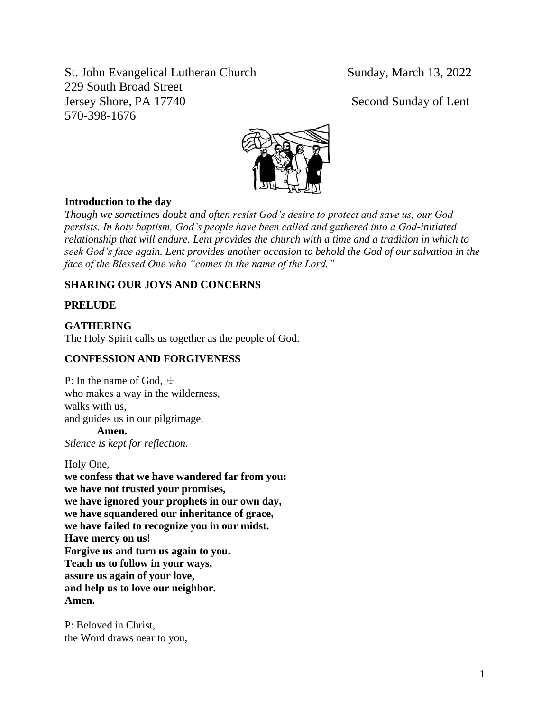St. John Evangelical Lutheran Church Sunday, March 13, 2022 229 South Broad Street Jersey Shore, PA 17740 Second Sunday of Lent 570-398-1676



# **Introduction to the day**

*Though we sometimes doubt and often resist God's desire to protect and save us, our God persists. In holy baptism, God's people have been called and gathered into a God-initiated relationship that will endure. Lent provides the church with a time and a tradition in which to seek God's face again. Lent provides another occasion to behold the God of our salvation in the face of the Blessed One who "comes in the name of the Lord."*

# **SHARING OUR JOYS AND CONCERNS**

### **PRELUDE**

# **GATHERING**

The Holy Spirit calls us together as the people of God.

### **CONFESSION AND FORGIVENESS**

P: In the name of God,  $\pm$ who makes a way in the wilderness, walks with us, and guides us in our pilgrimage.

**Amen.**

*Silence is kept for reflection.*

Holy One, **we confess that we have wandered far from you: we have not trusted your promises, we have ignored your prophets in our own day, we have squandered our inheritance of grace, we have failed to recognize you in our midst. Have mercy on us! Forgive us and turn us again to you. Teach us to follow in your ways, assure us again of your love, and help us to love our neighbor. Amen.**

P: Beloved in Christ, the Word draws near to you,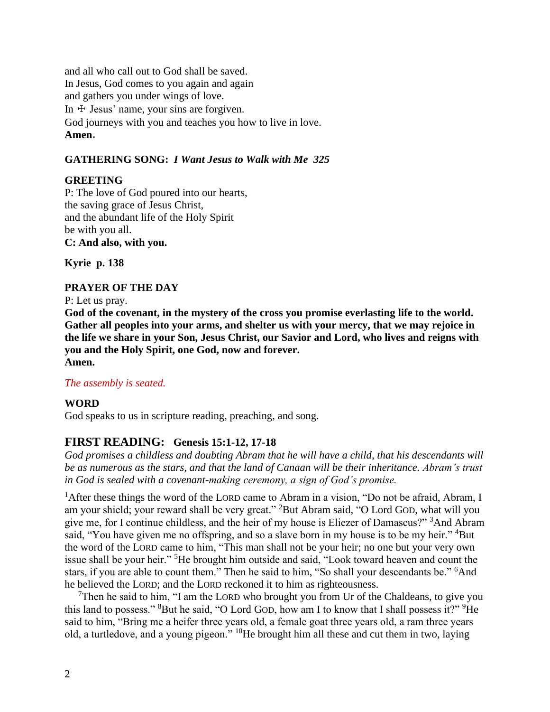and all who call out to God shall be saved. In Jesus, God comes to you again and again and gathers you under wings of love. In  $\pm$  Jesus' name, your sins are forgiven. God journeys with you and teaches you how to live in love. **Amen.**

# **GATHERING SONG:** *I Want Jesus to Walk with Me 325*

# **GREETING**

P: The love of God poured into our hearts, the saving grace of Jesus Christ, and the abundant life of the Holy Spirit be with you all. **C: And also, with you.**

**Kyrie p. 138**

# **PRAYER OF THE DAY**

P: Let us pray.

**God of the covenant, in the mystery of the cross you promise everlasting life to the world. Gather all peoples into your arms, and shelter us with your mercy, that we may rejoice in the life we share in your Son, Jesus Christ, our Savior and Lord, who lives and reigns with you and the Holy Spirit, one God, now and forever. Amen.**

### *The assembly is seated.*

# **WORD**

God speaks to us in scripture reading, preaching, and song.

# **FIRST READING: Genesis 15:1-12, 17-18**

*God promises a childless and doubting Abram that he will have a child, that his descendants will be as numerous as the stars, and that the land of Canaan will be their inheritance. Abram's trust in God is sealed with a covenant-making ceremony, a sign of God's promise.*

<sup>1</sup> After these things the word of the LORD came to Abram in a vision, "Do not be afraid, Abram, I am your shield; your reward shall be very great." <sup>2</sup>But Abram said, "O Lord GOD, what will you give me, for I continue childless, and the heir of my house is Eliezer of Damascus?" <sup>3</sup>And Abram said, "You have given me no offspring, and so a slave born in my house is to be my heir." <sup>4</sup>But the word of the LORD came to him, "This man shall not be your heir; no one but your very own issue shall be your heir." <sup>5</sup>He brought him outside and said, "Look toward heaven and count the stars, if you are able to count them." Then he said to him, "So shall your descendants be." <sup>6</sup>And he believed the LORD; and the LORD reckoned it to him as righteousness.

<sup>7</sup>Then he said to him, "I am the LORD who brought you from Ur of the Chaldeans, to give you this land to possess." <sup>8</sup>But he said, "O Lord GOD, how am I to know that I shall possess it?" <sup>9</sup>He said to him, "Bring me a heifer three years old, a female goat three years old, a ram three years old, a turtledove, and a young pigeon." <sup>10</sup>He brought him all these and cut them in two, laying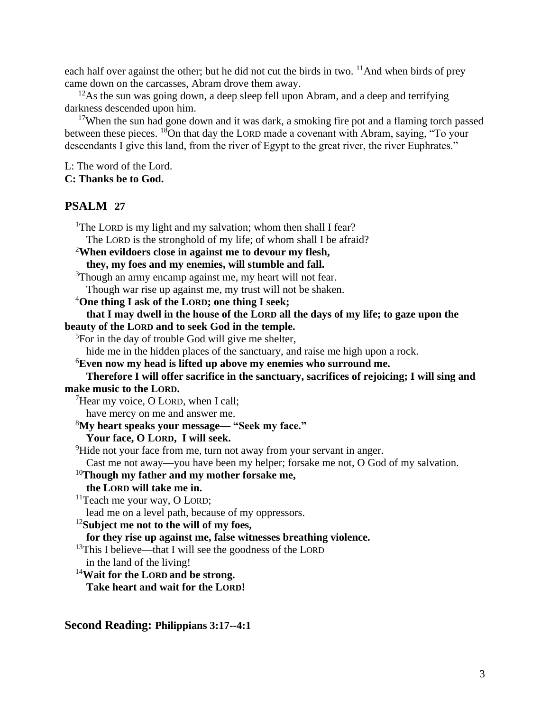each half over against the other; but he did not cut the birds in two.  $11$ And when birds of prey came down on the carcasses, Abram drove them away.

 $12$ As the sun was going down, a deep sleep fell upon Abram, and a deep and terrifying darkness descended upon him.

<sup>17</sup>When the sun had gone down and it was dark, a smoking fire pot and a flaming torch passed between these pieces. <sup>18</sup>On that day the LORD made a covenant with Abram, saying, "To your descendants I give this land, from the river of Egypt to the great river, the river Euphrates."

L: The word of the Lord. **C: Thanks be to God.**

# **PSALM 27**

<sup>1</sup>The LORD is my light and my salvation; whom then shall I fear? The LORD is the stronghold of my life; of whom shall I be afraid? <sup>2</sup>**When evildoers close in against me to devour my flesh, they, my foes and my enemies, will stumble and fall.** <sup>3</sup>Though an army encamp against me, my heart will not fear. Though war rise up against me, my trust will not be shaken. <sup>4</sup>**One thing I ask of the LORD; one thing I seek; that I may dwell in the house of the LORD all the days of my life; to gaze upon the beauty of the LORD and to seek God in the temple.** <sup>5</sup>For in the day of trouble God will give me shelter, hide me in the hidden places of the sanctuary, and raise me high upon a rock. <sup>6</sup>**Even now my head is lifted up above my enemies who surround me. Therefore I will offer sacrifice in the sanctuary, sacrifices of rejoicing; I will sing and make music to the LORD.** <sup>7</sup>Hear my voice, O LORD, when I call: have mercy on me and answer me. <sup>8</sup>**My heart speaks your message— "Seek my face." Your face, O LORD, I will seek.** <sup>9</sup>Hide not your face from me, turn not away from your servant in anger. Cast me not away—you have been my helper; forsake me not, O God of my salvation. <sup>10</sup>**Though my father and my mother forsake me, the LORD will take me in.**  $11$ Teach me your way, O LORD; lead me on a level path, because of my oppressors. <sup>12</sup>**Subject me not to the will of my foes, for they rise up against me, false witnesses breathing violence.**  $13$ This I believe—that I will see the goodness of the LORD in the land of the living! <sup>14</sup>**Wait for the LORD and be strong. Take heart and wait for the LORD!**

**Second Reading: Philippians 3:17--4:1**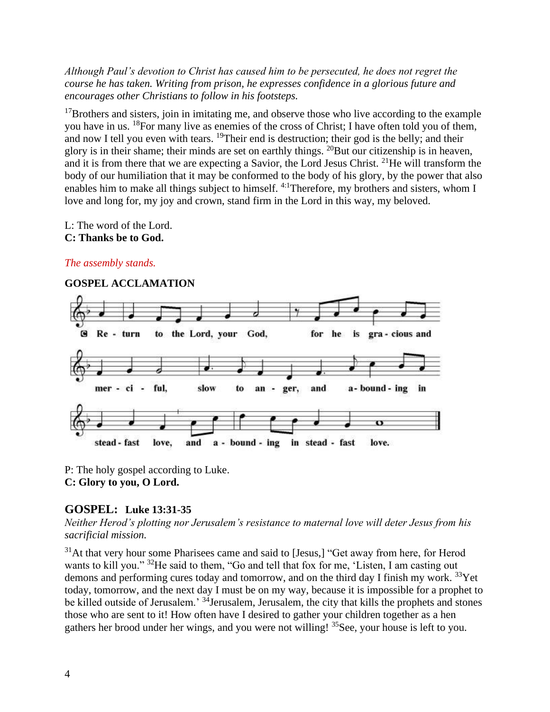*Although Paul's devotion to Christ has caused him to be persecuted, he does not regret the course he has taken. Writing from prison, he expresses confidence in a glorious future and encourages other Christians to follow in his footsteps.*

 $17$ Brothers and sisters, join in imitating me, and observe those who live according to the example you have in us. <sup>18</sup>For many live as enemies of the cross of Christ; I have often told you of them, and now I tell you even with tears. <sup>19</sup>Their end is destruction; their god is the belly; and their glory is in their shame; their minds are set on earthly things.  $^{20}$ But our citizenship is in heaven, and it is from there that we are expecting a Savior, the Lord Jesus Christ. <sup>21</sup>He will transform the body of our humiliation that it may be conformed to the body of his glory, by the power that also enables him to make all things subject to himself. 4:1Therefore, my brothers and sisters, whom I love and long for, my joy and crown, stand firm in the Lord in this way, my beloved.

L: The word of the Lord.

#### **C: Thanks be to God.**

# *The assembly stands.*

#### **GOSPEL ACCLAMATION**  Re - turn to the Lord, your God, for he is G gra - cious and mer - ci ful, slow and a-bound-ing in to an ger,  $\sigma$ stead - fast love, and a - bound - ing in stead - fast love.

P: The holy gospel according to Luke. **C: Glory to you, O Lord.**

# **GOSPEL: Luke 13:31-35**

*Neither Herod's plotting nor Jerusalem's resistance to maternal love will deter Jesus from his sacrificial mission.*

 $31$ At that very hour some Pharisees came and said to [Jesus,] "Get away from here, for Herod wants to kill you." <sup>32</sup>He said to them, "Go and tell that fox for me, 'Listen, I am casting out demons and performing cures today and tomorrow, and on the third day I finish my work. <sup>33</sup>Yet today, tomorrow, and the next day I must be on my way, because it is impossible for a prophet to be killed outside of Jerusalem.' <sup>34</sup>Jerusalem, Jerusalem, the city that kills the prophets and stones those who are sent to it! How often have I desired to gather your children together as a hen gathers her brood under her wings, and you were not willing! <sup>35</sup>See, your house is left to you.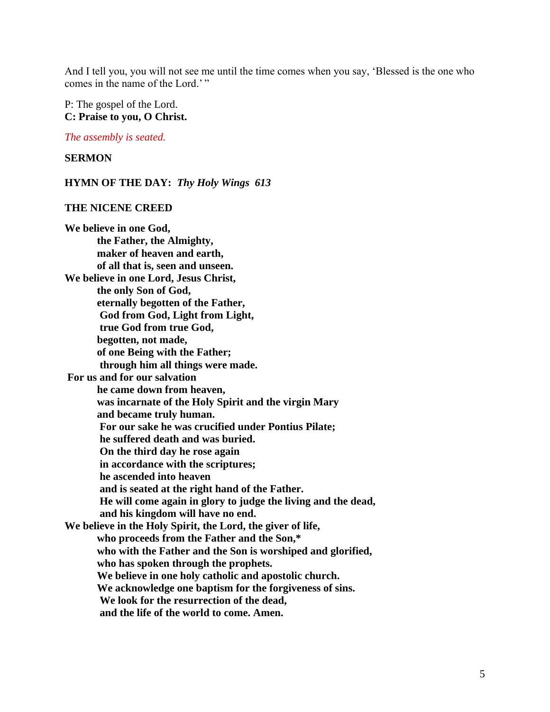And I tell you, you will not see me until the time comes when you say, 'Blessed is the one who comes in the name of the Lord.'"

P: The gospel of the Lord. **C: Praise to you, O Christ.**

*The assembly is seated.*

### **SERMON**

**HYMN OF THE DAY:** *Thy Holy Wings 613*

#### **THE NICENE CREED**

**We believe in one God, the Father, the Almighty, maker of heaven and earth, of all that is, seen and unseen. We believe in one Lord, Jesus Christ, the only Son of God, eternally begotten of the Father, God from God, Light from Light, true God from true God, begotten, not made, of one Being with the Father; through him all things were made. For us and for our salvation he came down from heaven, was incarnate of the Holy Spirit and the virgin Mary and became truly human. For our sake he was crucified under Pontius Pilate; he suffered death and was buried. On the third day he rose again in accordance with the scriptures; he ascended into heaven and is seated at the right hand of the Father. He will come again in glory to judge the living and the dead, and his kingdom will have no end. We believe in the Holy Spirit, the Lord, the giver of life, who proceeds from the Father and the Son,\* who with the Father and the Son is worshiped and glorified, who has spoken through the prophets. We believe in one holy catholic and apostolic church. We acknowledge one baptism for the forgiveness of sins. We look for the resurrection of the dead, and the life of the world to come. Amen.**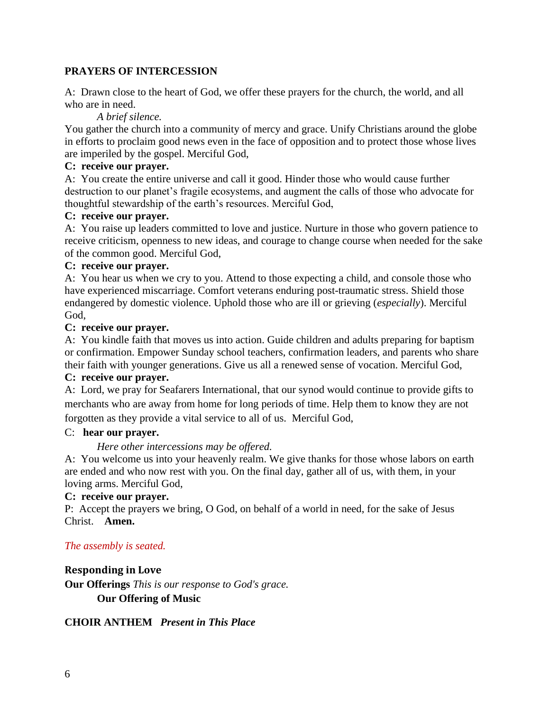## **PRAYERS OF INTERCESSION**

A: Drawn close to the heart of God, we offer these prayers for the church, the world, and all who are in need.

*A brief silence.*

You gather the church into a community of mercy and grace. Unify Christians around the globe in efforts to proclaim good news even in the face of opposition and to protect those whose lives are imperiled by the gospel. Merciful God,

## **C: receive our prayer.**

A: You create the entire universe and call it good. Hinder those who would cause further destruction to our planet's fragile ecosystems, and augment the calls of those who advocate for thoughtful stewardship of the earth's resources. Merciful God,

#### **C: receive our prayer.**

A: You raise up leaders committed to love and justice. Nurture in those who govern patience to receive criticism, openness to new ideas, and courage to change course when needed for the sake of the common good. Merciful God,

### **C: receive our prayer.**

A: You hear us when we cry to you. Attend to those expecting a child, and console those who have experienced miscarriage. Comfort veterans enduring post-traumatic stress. Shield those endangered by domestic violence. Uphold those who are ill or grieving (*especially*). Merciful God,

#### **C: receive our prayer.**

A: You kindle faith that moves us into action. Guide children and adults preparing for baptism or confirmation. Empower Sunday school teachers, confirmation leaders, and parents who share their faith with younger generations. Give us all a renewed sense of vocation. Merciful God,

### **C: receive our prayer.**

A: Lord, we pray for Seafarers International, that our synod would continue to provide gifts to merchants who are away from home for long periods of time. Help them to know they are not forgotten as they provide a vital service to all of us. Merciful God,

#### C: **hear our prayer.**

### *Here other intercessions may be offered.*

A: You welcome us into your heavenly realm. We give thanks for those whose labors on earth are ended and who now rest with you. On the final day, gather all of us, with them, in your loving arms. Merciful God,

#### **C: receive our prayer.**

P: Accept the prayers we bring, O God, on behalf of a world in need, for the sake of Jesus Christ. **Amen.**

### *The assembly is seated.*

### **Responding in Love**

**Our Offerings** *This is our response to God's grace.* **Our Offering of Music** 

### **CHOIR ANTHEM** *Present in This Place*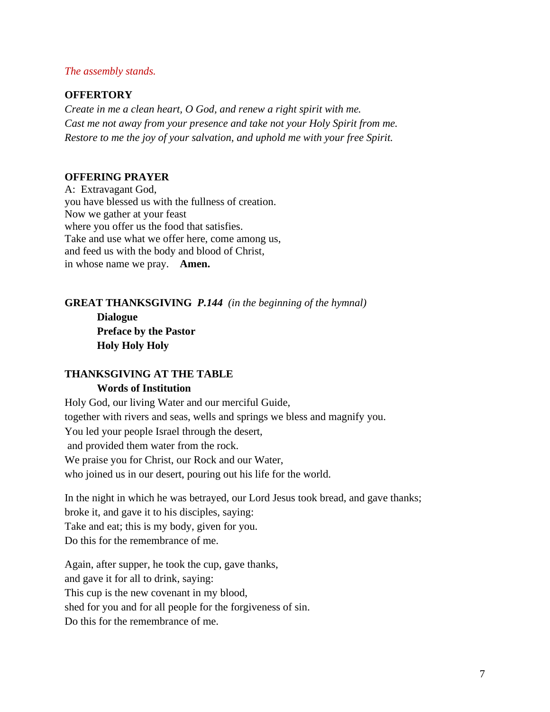#### *The assembly stands.*

# **OFFERTORY**

*Create in me a clean heart, O God, and renew a right spirit with me. Cast me not away from your presence and take not your Holy Spirit from me. Restore to me the joy of your salvation, and uphold me with your free Spirit.*

#### **OFFERING PRAYER**

A: Extravagant God, you have blessed us with the fullness of creation. Now we gather at your feast where you offer us the food that satisfies. Take and use what we offer here, come among us, and feed us with the body and blood of Christ, in whose name we pray. **Amen.**

# **GREAT THANKSGIVING** *P.144 (in the beginning of the hymnal)* **Dialogue Preface by the Pastor Holy Holy Holy**

### **THANKSGIVING AT THE TABLE Words of Institution**

Holy God, our living Water and our merciful Guide, together with rivers and seas, wells and springs we bless and magnify you. You led your people Israel through the desert, and provided them water from the rock. We praise you for Christ, our Rock and our Water, who joined us in our desert, pouring out his life for the world.

In the night in which he was betrayed, our Lord Jesus took bread, and gave thanks; broke it, and gave it to his disciples, saying: Take and eat; this is my body, given for you. Do this for the remembrance of me.

Again, after supper, he took the cup, gave thanks, and gave it for all to drink, saying: This cup is the new covenant in my blood, shed for you and for all people for the forgiveness of sin. Do this for the remembrance of me.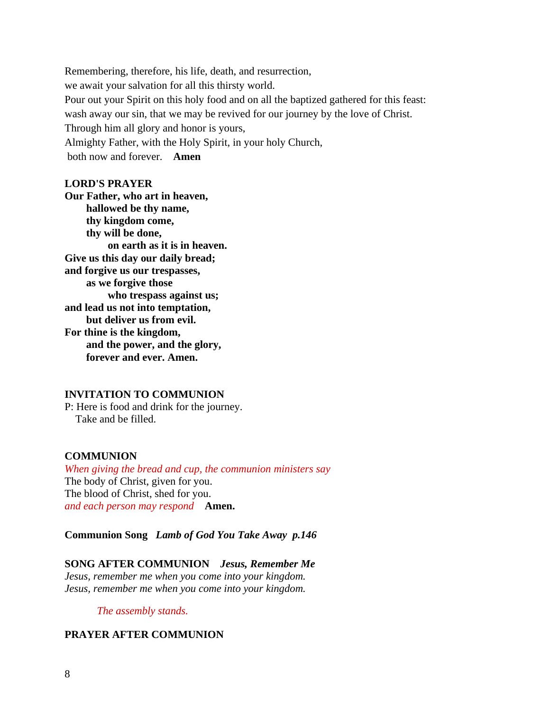Remembering, therefore, his life, death, and resurrection, we await your salvation for all this thirsty world. Pour out your Spirit on this holy food and on all the baptized gathered for this feast: wash away our sin, that we may be revived for our journey by the love of Christ. Through him all glory and honor is yours, Almighty Father, with the Holy Spirit, in your holy Church, both now and forever. **Amen**

#### **LORD'S PRAYER**

**Our Father, who art in heaven, hallowed be thy name, thy kingdom come, thy will be done, on earth as it is in heaven. Give us this day our daily bread; and forgive us our trespasses, as we forgive those who trespass against us; and lead us not into temptation, but deliver us from evil. For thine is the kingdom, and the power, and the glory, forever and ever. Amen.**

#### **INVITATION TO COMMUNION**

P: Here is food and drink for the journey. Take and be filled.

#### **COMMUNION**

*When giving the bread and cup, the communion ministers say* The body of Christ, given for you. The blood of Christ, shed for you. *and each person may respond* **Amen.**

**Communion Song** *Lamb of God You Take Away p.146*

#### **SONG AFTER COMMUNION** *Jesus, Remember Me*

*Jesus, remember me when you come into your kingdom. Jesus, remember me when you come into your kingdom.*

*The assembly stands.*

## **PRAYER AFTER COMMUNION**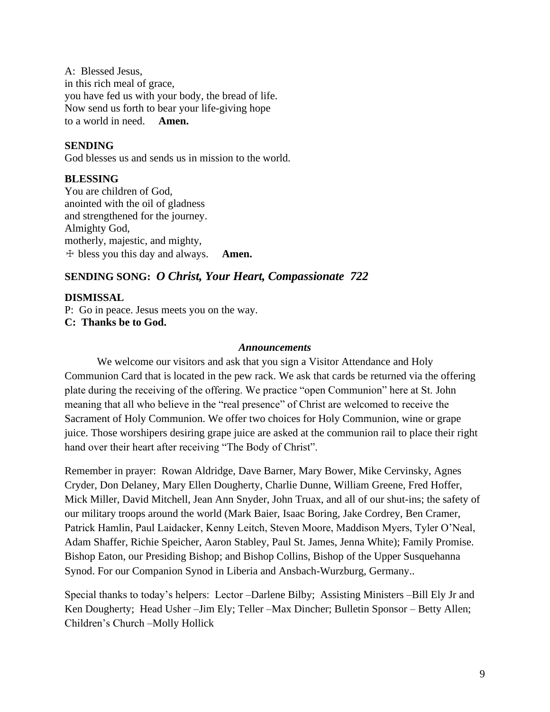A: Blessed Jesus, in this rich meal of grace, you have fed us with your body, the bread of life. Now send us forth to bear your life-giving hope to a world in need. **Amen.**

# **SENDING**

God blesses us and sends us in mission to the world.

# **BLESSING**

You are children of God, anointed with the oil of gladness and strengthened for the journey. Almighty God, motherly, majestic, and mighty, ☩ bless you this day and always. **Amen.**

# **SENDING SONG:** *O Christ, Your Heart, Compassionate 722*

### **DISMISSAL**

P: Go in peace. Jesus meets you on the way. **C: Thanks be to God.**

#### *Announcements*

We welcome our visitors and ask that you sign a Visitor Attendance and Holy Communion Card that is located in the pew rack. We ask that cards be returned via the offering plate during the receiving of the offering. We practice "open Communion" here at St. John meaning that all who believe in the "real presence" of Christ are welcomed to receive the Sacrament of Holy Communion. We offer two choices for Holy Communion, wine or grape juice. Those worshipers desiring grape juice are asked at the communion rail to place their right hand over their heart after receiving "The Body of Christ".

Remember in prayer: Rowan Aldridge, Dave Barner, Mary Bower, Mike Cervinsky, Agnes Cryder, Don Delaney, Mary Ellen Dougherty, Charlie Dunne, William Greene, Fred Hoffer, Mick Miller, David Mitchell, Jean Ann Snyder, John Truax, and all of our shut-ins; the safety of our military troops around the world (Mark Baier, Isaac Boring, Jake Cordrey, Ben Cramer, Patrick Hamlin, Paul Laidacker, Kenny Leitch, Steven Moore, Maddison Myers, Tyler O'Neal, Adam Shaffer, Richie Speicher, Aaron Stabley, Paul St. James, Jenna White); Family Promise. Bishop Eaton, our Presiding Bishop; and Bishop Collins, Bishop of the Upper Susquehanna Synod. For our Companion Synod in Liberia and Ansbach-Wurzburg, Germany..

Special thanks to today's helpers: Lector –Darlene Bilby; Assisting Ministers –Bill Ely Jr and Ken Dougherty; Head Usher –Jim Ely; Teller –Max Dincher; Bulletin Sponsor – Betty Allen; Children's Church –Molly Hollick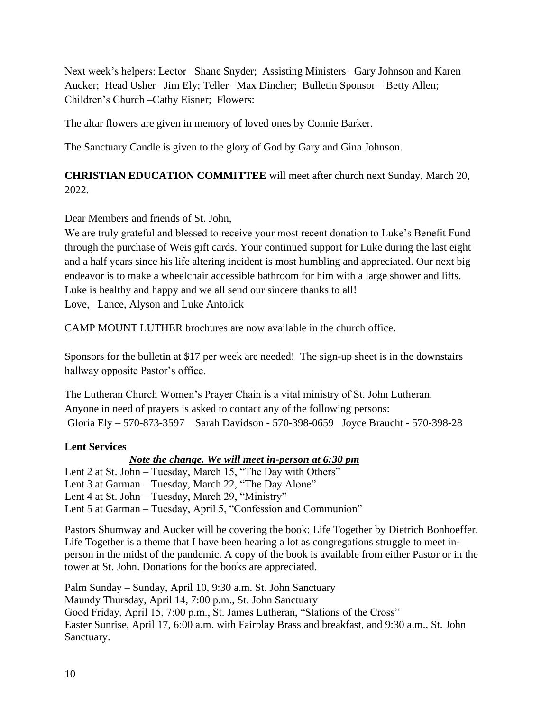Next week's helpers: Lector –Shane Snyder; Assisting Ministers –Gary Johnson and Karen Aucker; Head Usher –Jim Ely; Teller –Max Dincher; Bulletin Sponsor – Betty Allen; Children's Church –Cathy Eisner; Flowers:

The altar flowers are given in memory of loved ones by Connie Barker.

The Sanctuary Candle is given to the glory of God by Gary and Gina Johnson.

**CHRISTIAN EDUCATION COMMITTEE** will meet after church next Sunday, March 20, 2022.

Dear Members and friends of St. John,

We are truly grateful and blessed to receive your most recent donation to Luke's Benefit Fund through the purchase of Weis gift cards. Your continued support for Luke during the last eight and a half years since his life altering incident is most humbling and appreciated. Our next big endeavor is to make a wheelchair accessible bathroom for him with a large shower and lifts. Luke is healthy and happy and we all send our sincere thanks to all! Love, Lance, Alyson and Luke Antolick

CAMP MOUNT LUTHER brochures are now available in the church office.

Sponsors for the bulletin at \$17 per week are needed! The sign-up sheet is in the downstairs hallway opposite Pastor's office.

The Lutheran Church Women's Prayer Chain is a vital ministry of St. John Lutheran. Anyone in need of prayers is asked to contact any of the following persons: Gloria Ely – 570-873-3597 Sarah Davidson - 570-398-0659 Joyce Braucht - 570-398-28

# **Lent Services**

# *Note the change. We will meet in-person at 6:30 pm*

Lent 2 at St. John – Tuesday, March 15, "The Day with Others" Lent 3 at Garman – Tuesday, March 22, "The Day Alone" Lent 4 at St. John – Tuesday, March 29, "Ministry" Lent 5 at Garman – Tuesday, April 5, "Confession and Communion"

Pastors Shumway and Aucker will be covering the book: Life Together by Dietrich Bonhoeffer. Life Together is a theme that I have been hearing a lot as congregations struggle to meet inperson in the midst of the pandemic. A copy of the book is available from either Pastor or in the tower at St. John. Donations for the books are appreciated.

Palm Sunday – Sunday, April 10, 9:30 a.m. St. John Sanctuary Maundy Thursday, April 14, 7:00 p.m., St. John Sanctuary Good Friday, April 15, 7:00 p.m., St. James Lutheran, "Stations of the Cross" Easter Sunrise, April 17, 6:00 a.m. with Fairplay Brass and breakfast, and 9:30 a.m., St. John Sanctuary.